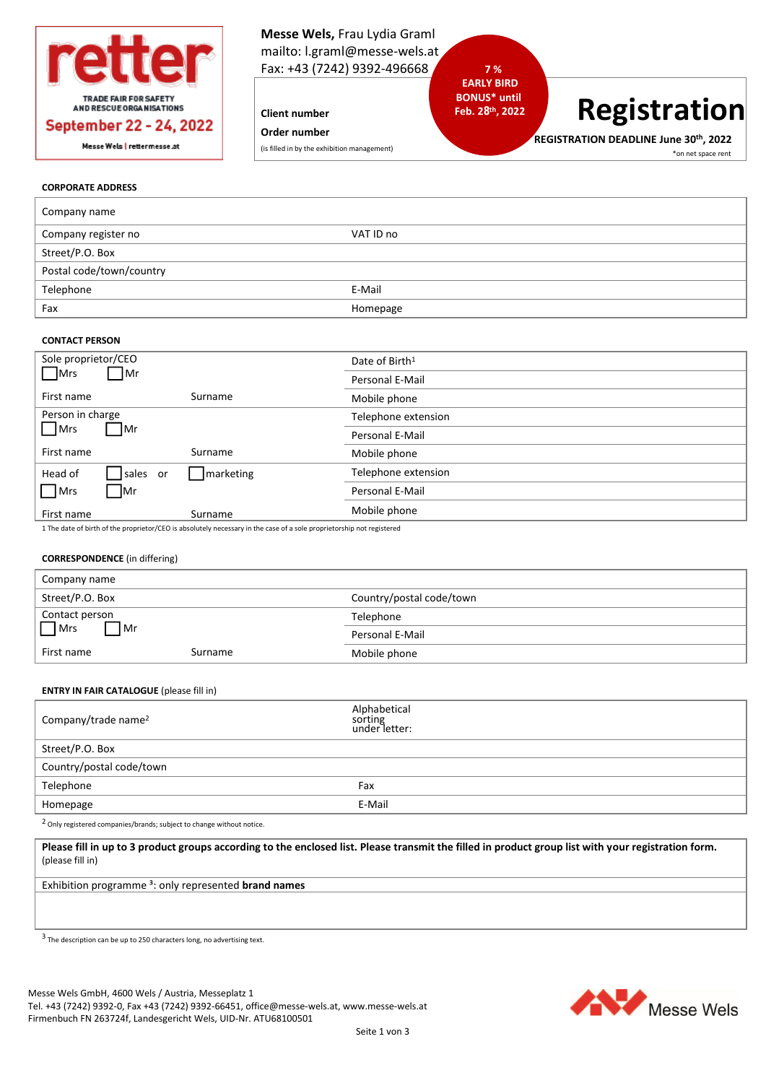

**Client number**

**Order number**

(is filled in by the exhibition management)

# **7 % EARLY BIRD BONUS\* until Feb. 28 th, 2022**

# **Registration**

**REGISTRATION DEADLINE June 30th , 2022** \*on net space rent

## **CORPORATE ADDRESS**

| Company name             |           |
|--------------------------|-----------|
| Company register no      | VAT ID no |
| Street/P.O. Box          |           |
| Postal code/town/country |           |
| Telephone                | E-Mail    |
| Fax                      | Homepage  |

## **CONTACT PERSON**

| Sole proprietor/CEO    |           | Date of Birth <sup>1</sup> |
|------------------------|-----------|----------------------------|
| Mrs<br>$\mathsf{Im}$   |           | Personal E-Mail            |
| First name             | Surname   | Mobile phone               |
| Person in charge       |           | Telephone extension        |
| Mrs<br>∣Mr             |           | Personal E-Mail            |
| First name             | Surname   | Mobile phone               |
| Head of<br>sales<br>or | marketing | Telephone extension        |
| $\Box$ Mrs<br>∣Mr      |           | Personal E-Mail            |
| First name             | Surname   | Mobile phone               |
|                        |           |                            |

1 The date of birth of the proprietor/CEO is absolutely necessary in the case of a sole proprietorship not registered

# **CORRESPONDENCE** (in differing)

| Company name             |         |                          |
|--------------------------|---------|--------------------------|
| Street/P.O. Box          |         | Country/postal code/town |
| Contact person           |         | Telephone                |
| $\n  Mrs\n$<br><b>Mr</b> |         | Personal E-Mail          |
| First name               | Surname | Mobile phone             |

#### **ENTRY IN FAIR CATALOGUE** (please fill in)

| Company/trade name <sup>2</sup> | Alphabetical<br>sorting<br>under letter: |
|---------------------------------|------------------------------------------|
| Street/P.O. Box                 |                                          |
| Country/postal code/town        |                                          |
| Telephone                       | Fax                                      |
| Homepage                        | E-Mail                                   |
|                                 |                                          |

2 Only registered companies/brands; subject to change without notice.

**Please fill in up to 3 product groups according to the enclosed list. Please transmit the filled in product group list with your registration form.**  (please fill in)

Exhibition programme ³: only represented **brand names**

 $3$  The description can be up to 250 characters long, no advertising text.

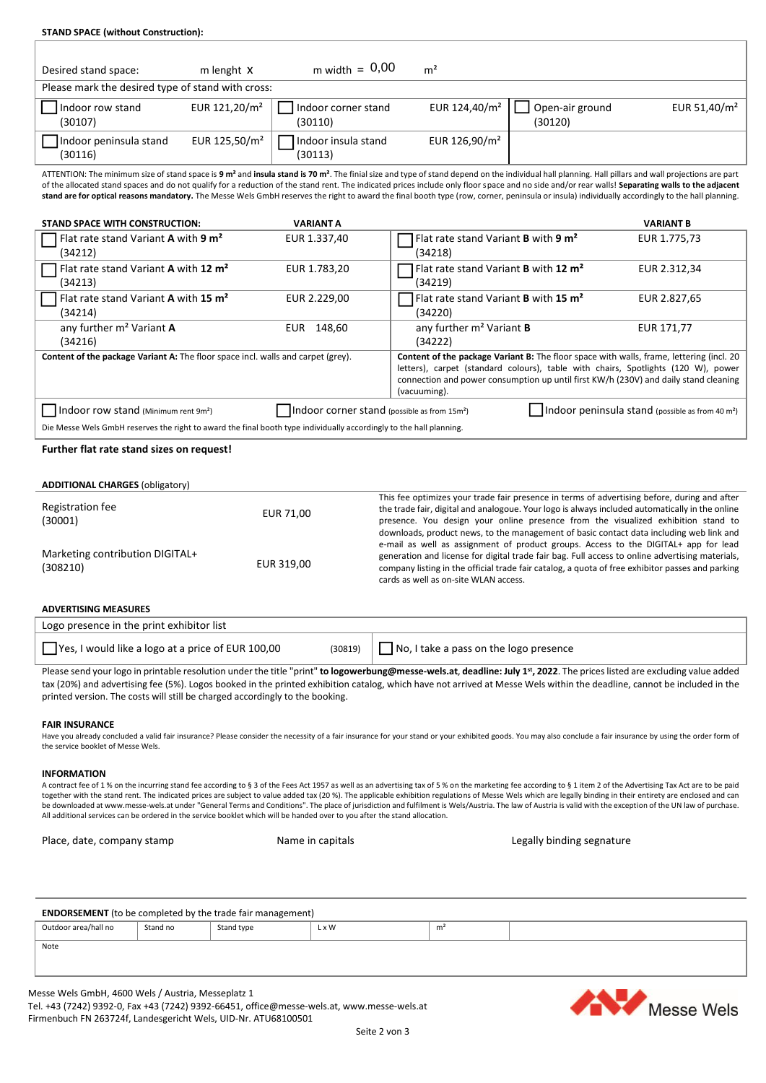| <b>STAND SPACE (without Construction):</b>                                                                                                                                                                                                                                                                                                                                                                                                                                                                                                                                                                                          |                                |                                                                                                                                                                                                                                                                                                                                                                                 |                            |                                                                                                                                                                                                                                                                       |
|-------------------------------------------------------------------------------------------------------------------------------------------------------------------------------------------------------------------------------------------------------------------------------------------------------------------------------------------------------------------------------------------------------------------------------------------------------------------------------------------------------------------------------------------------------------------------------------------------------------------------------------|--------------------------------|---------------------------------------------------------------------------------------------------------------------------------------------------------------------------------------------------------------------------------------------------------------------------------------------------------------------------------------------------------------------------------|----------------------------|-----------------------------------------------------------------------------------------------------------------------------------------------------------------------------------------------------------------------------------------------------------------------|
|                                                                                                                                                                                                                                                                                                                                                                                                                                                                                                                                                                                                                                     | $m$ width = $0,00$             |                                                                                                                                                                                                                                                                                                                                                                                 |                            |                                                                                                                                                                                                                                                                       |
| m lenght X<br>Desired stand space:<br>Please mark the desired type of stand with cross:                                                                                                                                                                                                                                                                                                                                                                                                                                                                                                                                             |                                | m <sup>2</sup>                                                                                                                                                                                                                                                                                                                                                                  |                            |                                                                                                                                                                                                                                                                       |
|                                                                                                                                                                                                                                                                                                                                                                                                                                                                                                                                                                                                                                     |                                |                                                                                                                                                                                                                                                                                                                                                                                 |                            |                                                                                                                                                                                                                                                                       |
| Indoor row stand<br>EUR 121,20/m <sup>2</sup><br>(30107)                                                                                                                                                                                                                                                                                                                                                                                                                                                                                                                                                                            | Indoor corner stand<br>(30110) | EUR 124,40/m <sup>2</sup>                                                                                                                                                                                                                                                                                                                                                       | Open-air ground<br>(30120) | EUR 51,40/m <sup>2</sup>                                                                                                                                                                                                                                              |
| EUR 125,50/m <sup>2</sup><br>Indoor peninsula stand<br>(30116)                                                                                                                                                                                                                                                                                                                                                                                                                                                                                                                                                                      | Indoor insula stand<br>(30113) | EUR 126,90/m <sup>2</sup>                                                                                                                                                                                                                                                                                                                                                       |                            |                                                                                                                                                                                                                                                                       |
| ATTENTION: The minimum size of stand space is 9 m <sup>2</sup> and insula stand is 70 m <sup>2</sup> . The finial size and type of stand depend on the individual hall planning. Hall pillars and wall projections are part<br>of the allocated stand spaces and do not qualify for a reduction of the stand rent. The indicated prices include only floor space and no side and/or rear walls! Separating walls to the adjacent<br>stand are for optical reasons mandatory. The Messe Wels GmbH reserves the right to award the final booth type (row, corner, peninsula or insula) individually accordingly to the hall planning. |                                |                                                                                                                                                                                                                                                                                                                                                                                 |                            |                                                                                                                                                                                                                                                                       |
| STAND SPACE WITH CONSTRUCTION:                                                                                                                                                                                                                                                                                                                                                                                                                                                                                                                                                                                                      | <b>VARIANT A</b>               |                                                                                                                                                                                                                                                                                                                                                                                 |                            | <b>VARIANT B</b>                                                                                                                                                                                                                                                      |
| Flat rate stand Variant A with 9 m <sup>2</sup><br>(34212)                                                                                                                                                                                                                                                                                                                                                                                                                                                                                                                                                                          | EUR 1.337,40                   | Flat rate stand Variant B with 9 m <sup>2</sup><br>(34218)                                                                                                                                                                                                                                                                                                                      |                            | EUR 1.775,73                                                                                                                                                                                                                                                          |
| Flat rate stand Variant A with 12 m <sup>2</sup><br>(34213)                                                                                                                                                                                                                                                                                                                                                                                                                                                                                                                                                                         | EUR 1.783,20                   | Flat rate stand Variant B with 12 m <sup>2</sup><br>(34219)                                                                                                                                                                                                                                                                                                                     |                            | EUR 2.312,34                                                                                                                                                                                                                                                          |
| Flat rate stand Variant A with 15 m <sup>2</sup><br>(34214)                                                                                                                                                                                                                                                                                                                                                                                                                                                                                                                                                                         | EUR 2.229,00                   | Flat rate stand Variant B with 15 m <sup>2</sup><br>(34220)                                                                                                                                                                                                                                                                                                                     |                            | EUR 2.827,65                                                                                                                                                                                                                                                          |
| any further m <sup>2</sup> Variant A<br>(34216)                                                                                                                                                                                                                                                                                                                                                                                                                                                                                                                                                                                     | EUR 148,60                     | any further m <sup>2</sup> Variant B<br>(34222)                                                                                                                                                                                                                                                                                                                                 |                            | EUR 171,77                                                                                                                                                                                                                                                            |
| Content of the package Variant A: The floor space incl. walls and carpet (grey).                                                                                                                                                                                                                                                                                                                                                                                                                                                                                                                                                    |                                | (vacuuming).                                                                                                                                                                                                                                                                                                                                                                    |                            | Content of the package Variant B: The floor space with walls, frame, lettering (incl. 20<br>letters), carpet (standard colours), table with chairs, Spotlights (120 W), power<br>connection and power consumption up until first KW/h (230V) and daily stand cleaning |
| $\vert$   Indoor row stand (Minimum rent 9m <sup>2</sup> )<br>Indoor corner stand (possible as from 15m <sup>2</sup> )<br>Indoor peninsula stand (possible as from 40 m <sup>2</sup> )<br>Die Messe Wels GmbH reserves the right to award the final booth type individually accordingly to the hall planning.                                                                                                                                                                                                                                                                                                                       |                                |                                                                                                                                                                                                                                                                                                                                                                                 |                            |                                                                                                                                                                                                                                                                       |
| Further flat rate stand sizes on request!                                                                                                                                                                                                                                                                                                                                                                                                                                                                                                                                                                                           |                                |                                                                                                                                                                                                                                                                                                                                                                                 |                            |                                                                                                                                                                                                                                                                       |
| <b>ADDITIONAL CHARGES (obligatory)</b>                                                                                                                                                                                                                                                                                                                                                                                                                                                                                                                                                                                              |                                |                                                                                                                                                                                                                                                                                                                                                                                 |                            |                                                                                                                                                                                                                                                                       |
| Registration fee<br>(30001)                                                                                                                                                                                                                                                                                                                                                                                                                                                                                                                                                                                                         | EUR 71,00                      | This fee optimizes your trade fair presence in terms of advertising before, during and after<br>the trade fair, digital and analogoue. Your logo is always included automatically in the online<br>presence. You design your online presence from the visualized exhibition stand to<br>downloads, product news, to the management of basic contact data including web link and |                            |                                                                                                                                                                                                                                                                       |
| Marketing contribution DIGITAL+<br>(308210)                                                                                                                                                                                                                                                                                                                                                                                                                                                                                                                                                                                         | EUR 319,00                     | e-mail as well as assignment of product groups. Access to the DIGITAL+ app for lead<br>generation and license for digital trade fair bag. Full access to online advertising materials,<br>company listing in the official trade fair catalog, a quota of free exhibitor passes and parking<br>cards as well as on-site WLAN access.                                             |                            |                                                                                                                                                                                                                                                                       |
| <b>ADVERTISING MEASURES</b>                                                                                                                                                                                                                                                                                                                                                                                                                                                                                                                                                                                                         |                                |                                                                                                                                                                                                                                                                                                                                                                                 |                            |                                                                                                                                                                                                                                                                       |
| Logo presence in the print exhibitor list                                                                                                                                                                                                                                                                                                                                                                                                                                                                                                                                                                                           |                                |                                                                                                                                                                                                                                                                                                                                                                                 |                            |                                                                                                                                                                                                                                                                       |
| Yes, I would like a logo at a price of EUR 100,00                                                                                                                                                                                                                                                                                                                                                                                                                                                                                                                                                                                   | (30819)                        | No, I take a pass on the logo presence                                                                                                                                                                                                                                                                                                                                          |                            |                                                                                                                                                                                                                                                                       |
| Please send your logo in printable resolution under the title "print" to logowerbung@messe-wels.at, deadline: July 1st, 2022. The prices listed are excluding value added<br>tax (20%) and advertising fee (5%). Logos booked in the printed exhibition catalog, which have not arrived at Messe Wels within the deadline, cannot be included in the<br>printed version. The costs will still be charged accordingly to the booking.                                                                                                                                                                                                |                                |                                                                                                                                                                                                                                                                                                                                                                                 |                            |                                                                                                                                                                                                                                                                       |
| <b>FAIR INSURANCE</b>                                                                                                                                                                                                                                                                                                                                                                                                                                                                                                                                                                                                               |                                |                                                                                                                                                                                                                                                                                                                                                                                 |                            |                                                                                                                                                                                                                                                                       |

Have you already concluded a valid fair insurance? Please consider the necessity of a fair insurance for your stand or your exhibited goods. You may also conclude a fair insurance by using the order form of the service booklet of Messe Wels.

**INFORMATION**

A contract fee of 1 % on the incurring stand fee according to § 3 of the Fees Act 1957 as well as an advertising tax of 5 % on the marketing fee according to § 1 item 2 of the Advertising Tax Act are to be paid<br>together wi All additional services can be ordered in the service booklet which will be handed over to you after the stand allocation.

Place, date, company stamp **Name in capitals** All experiences and the segnature Legally binding segnature

| <b>ENDORSEMENT</b> (to be completed by the trade fair management) |          |            |       |   |  |
|-------------------------------------------------------------------|----------|------------|-------|---|--|
| Outdoor area/hall no                                              | Stand no | Stand type | L x W | m |  |
| Note                                                              |          |            |       |   |  |
|                                                                   |          |            |       |   |  |
|                                                                   |          |            |       |   |  |

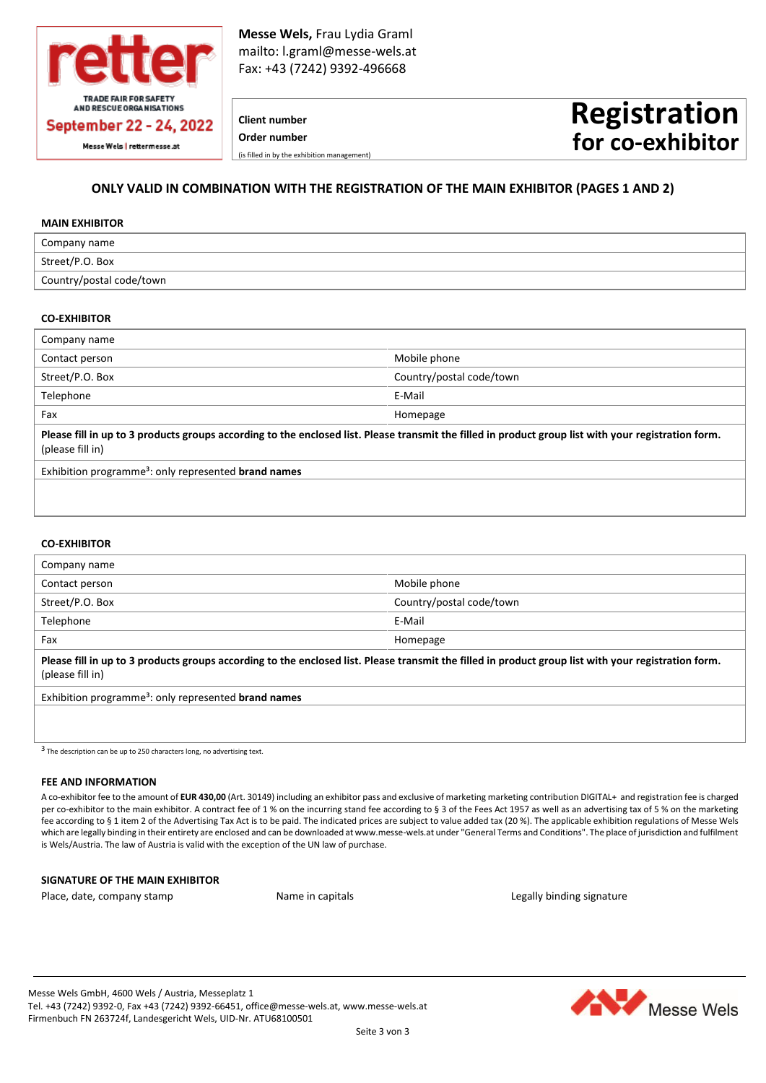

**Messe Wels,** Frau Lydia Graml mailto: l.graml@messe-wels.at Fax: +43 (7242) 9392-496668

# **Client number Order number** (is filled in by the exhibition management)

# **Registration for co-exhibitor**

# **ONLY VALID IN COMBINATION WITH THE REGISTRATION OF THE MAIN EXHIBITOR (PAGES 1 AND 2)**

#### **MAIN EXHIBITOR**

| Company name             |
|--------------------------|
| Street/P.O. Box          |
| Country/postal code/town |

# **CO-EXHIBITOR**

| Company name                                                                                                                                                             |                          |  |
|--------------------------------------------------------------------------------------------------------------------------------------------------------------------------|--------------------------|--|
| Contact person                                                                                                                                                           | Mobile phone             |  |
| Street/P.O. Box                                                                                                                                                          | Country/postal code/town |  |
| Telephone                                                                                                                                                                | E-Mail                   |  |
| Fax                                                                                                                                                                      | Homepage                 |  |
| Please fill in up to 3 products groups according to the enclosed list. Please transmit the filled in product group list with your registration form.<br>(please fill in) |                          |  |
| Exhibition programme <sup>3</sup> : only represented <b>brand names</b>                                                                                                  |                          |  |
|                                                                                                                                                                          |                          |  |

#### **CO-EXHIBITOR**

| Company name                                                                                                                                                             |                          |  |
|--------------------------------------------------------------------------------------------------------------------------------------------------------------------------|--------------------------|--|
| Contact person                                                                                                                                                           | Mobile phone             |  |
| Street/P.O. Box                                                                                                                                                          | Country/postal code/town |  |
| Telephone                                                                                                                                                                | E-Mail                   |  |
| Fax                                                                                                                                                                      | Homepage                 |  |
| Please fill in up to 3 products groups according to the enclosed list. Please transmit the filled in product group list with your registration form.<br>(please fill in) |                          |  |
| Exhibition programme <sup>3</sup> : only represented brand names                                                                                                         |                          |  |
|                                                                                                                                                                          |                          |  |

 $\overline{3}$  The description can be up to 250 characters long, no advertising text.

#### **FEE AND INFORMATION**

A co-exhibitor fee to the amount of **EUR 430,00** (Art. 30149) including an exhibitor pass and exclusive of marketing marketing contribution DIGITAL+ and registration fee is charged per co-exhibitor to the main exhibitor. A contract fee of 1 % on the incurring stand fee according to § 3 of the Fees Act 1957 as well as an advertising tax of 5 % on the marketing fee according to § 1 item 2 of the Advertising Tax Act is to be paid. The indicated prices are subject to value added tax (20 %). The applicable exhibition regulations of Messe Wels which are legally binding in their entirety are enclosed and can be downloaded at www.messe-wels.at under "General Terms and Conditions". The place of jurisdiction and fulfilment is Wels/Austria. The law of Austria is valid with the exception of the UN law of purchase.

#### **SIGNATURE OF THE MAIN EXHIBITOR**

Place, date, company stamp Name in capitals Legally binding signature Regally binding signature

Messe Wels GmbH, 4600 Wels / Austria, Messeplatz 1 Tel. +43 (7242) 9392-0, Fax +43 (7242) 9392-66451[, office@messe-wels.at,](mailto:office@messe-wels.at) [www.messe-wels.at](http://www.messe-wels.at/) Firmenbuch FN 263724f, Landesgericht Wels, UID-Nr. ATU68100501

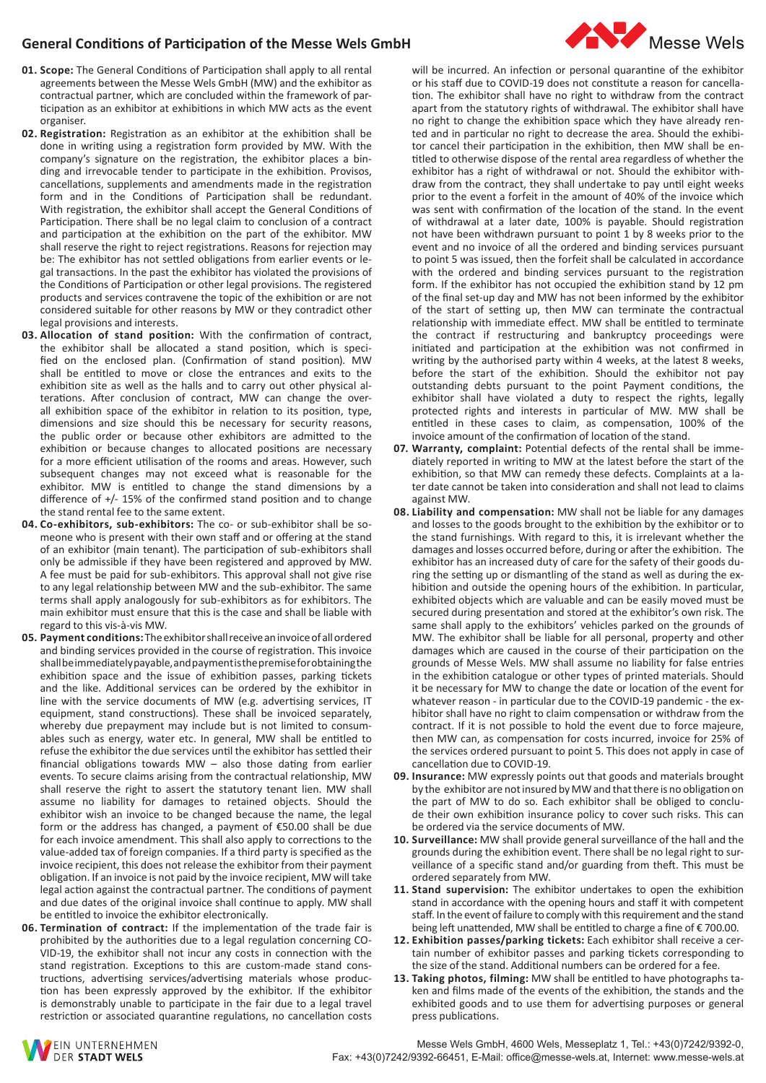# **General Conditions of Participation of the Messe Wels GmbH**

- **01. Scope:** The General Conditions of Participation shall apply to all rental agreements between the Messe Wels GmbH (MW) and the exhibitor as contractual partner, which are concluded within the framework of participation as an exhibitor at exhibitions in which MW acts as the event organiser.
- **02. Registration:** Registration as an exhibitor at the exhibition shall be done in writing using a registration form provided by MW. With the company's signature on the registration, the exhibitor places a binding and irrevocable tender to participate in the exhibition. Provisos, cancellations, supplements and amendments made in the registration form and in the Conditions of Participation shall be redundant. With registration, the exhibitor shall accept the General Conditions of Participation. There shall be no legal claim to conclusion of a contract and participation at the exhibition on the part of the exhibitor. MW shall reserve the right to reject registrations. Reasons for rejection may be: The exhibitor has not settled obligations from earlier events or legal transactions. In the past the exhibitor has violated the provisions of the Conditions of Participation or other legal provisions. The registered products and services contravene the topic of the exhibition or are not considered suitable for other reasons by MW or they contradict other legal provisions and interests.
- **03. Allocation of stand position:** With the confirmation of contract, the exhibitor shall be allocated a stand position, which is specified on the enclosed plan. (Confirmation of stand position). MW shall be entitled to move or close the entrances and exits to the exhibition site as well as the halls and to carry out other physical alterations. After conclusion of contract, MW can change the overall exhibition space of the exhibitor in relation to its position, type, dimensions and size should this be necessary for security reasons, the public order or because other exhibitors are admitted to the exhibition or because changes to allocated positions are necessary for a more efficient utilisation of the rooms and areas. However, such subsequent changes may not exceed what is reasonable for the exhibitor. MW is entitled to change the stand dimensions by a difference of +/- 15% of the confirmed stand position and to change the stand rental fee to the same extent.
- **04. Co-exhibitors, sub-exhibitors:** The co- or sub-exhibitor shall be someone who is present with their own staff and or offering at the stand of an exhibitor (main tenant). The participation of sub-exhibitors shall only be admissible if they have been registered and approved by MW. A fee must be paid for sub-exhibitors. This approval shall not give rise to any legal relationship between MW and the sub-exhibitor. The same terms shall apply analogously for sub-exhibitors as for exhibitors. The main exhibitor must ensure that this is the case and shall be liable with regard to this vis-à-vis MW.
- **05. Payment conditions:** The exhibitor shall receive an invoice of all ordered and binding services provided in the course of registration. This invoice shall be immediately payable, and payment is the premise for obtaining the exhibition space and the issue of exhibition passes, parking tickets and the like. Additional services can be ordered by the exhibitor in line with the service documents of MW (e.g. advertising services, IT equipment, stand constructions). These shall be invoiced separately, whereby due prepayment may include but is not limited to consumables such as energy, water etc. In general, MW shall be entitled to refuse the exhibitor the due services until the exhibitor has settled their financial obligations towards MW – also those dating from earlier events. To secure claims arising from the contractual relationship, MW shall reserve the right to assert the statutory tenant lien. MW shall assume no liability for damages to retained objects. Should the exhibitor wish an invoice to be changed because the name, the legal form or the address has changed, a payment of €50.00 shall be due for each invoice amendment. This shall also apply to corrections to the value-added tax of foreign companies. If a third party is specified as the invoice recipient, this does not release the exhibitor from their payment obligation. If an invoice is not paid by the invoice recipient, MW will take legal action against the contractual partner. The conditions of payment and due dates of the original invoice shall continue to apply. MW shall be entitled to invoice the exhibitor electronically.
- **06. Termination of contract:** If the implementation of the trade fair is prohibited by the authorities due to a legal regulation concerning CO-VID-19, the exhibitor shall not incur any costs in connection with the stand registration. Exceptions to this are custom-made stand constructions, advertising services/advertising materials whose production has been expressly approved by the exhibitor. If the exhibitor is demonstrably unable to participate in the fair due to a legal travel restriction or associated quarantine regulations, no cancellation costs

will be incurred. An infection or personal quarantine of the exhibitor or his staff due to COVID-19 does not constitute a reason for cancellation. The exhibitor shall have no right to withdraw from the contract apart from the statutory rights of withdrawal. The exhibitor shall have no right to change the exhibition space which they have already rented and in particular no right to decrease the area. Should the exhibitor cancel their participation in the exhibition, then MW shall be entitled to otherwise dispose of the rental area regardless of whether the exhibitor has a right of withdrawal or not. Should the exhibitor withdraw from the contract, they shall undertake to pay until eight weeks prior to the event a forfeit in the amount of 40% of the invoice which was sent with confirmation of the location of the stand. In the event of withdrawal at a later date, 100% is payable. Should registration not have been withdrawn pursuant to point 1 by 8 weeks prior to the event and no invoice of all the ordered and binding services pursuant to point 5 was issued, then the forfeit shall be calculated in accordance with the ordered and binding services pursuant to the registration form. If the exhibitor has not occupied the exhibition stand by 12 pm of the final set-up day and MW has not been informed by the exhibitor of the start of setting up, then MW can terminate the contractual relationship with immediate effect. MW shall be entitled to terminate the contract if restructuring and bankruptcy proceedings were initiated and participation at the exhibition was not confirmed in writing by the authorised party within 4 weeks, at the latest 8 weeks, before the start of the exhibition. Should the exhibitor not pay outstanding debts pursuant to the point Payment conditions, the exhibitor shall have violated a duty to respect the rights, legally protected rights and interests in particular of MW. MW shall be entitled in these cases to claim, as compensation, 100% of the invoice amount of the confirmation of location of the stand.

- **07. Warranty, complaint:** Potential defects of the rental shall be immediately reported in writing to MW at the latest before the start of the exhibition, so that MW can remedy these defects. Complaints at a later date cannot be taken into consideration and shall not lead to claims against MW.
- **08. Liability and compensation:** MW shall not be liable for any damages and losses to the goods brought to the exhibition by the exhibitor or to the stand furnishings. With regard to this, it is irrelevant whether the damages and losses occurred before, during or after the exhibition. The exhibitor has an increased duty of care for the safety of their goods during the setting up or dismantling of the stand as well as during the exhibition and outside the opening hours of the exhibition. In particular, exhibited objects which are valuable and can be easily moved must be secured during presentation and stored at the exhibitor's own risk. The same shall apply to the exhibitors' vehicles parked on the grounds of MW. The exhibitor shall be liable for all personal, property and other damages which are caused in the course of their participation on the grounds of Messe Wels. MW shall assume no liability for false entries in the exhibition catalogue or other types of printed materials. Should it be necessary for MW to change the date or location of the event for whatever reason - in particular due to the COVID-19 pandemic - the exhibitor shall have no right to claim compensation or withdraw from the contract. If it is not possible to hold the event due to force majeure, then MW can, as compensation for costs incurred, invoice for 25% of the services ordered pursuant to point 5. This does not apply in case of cancellation due to COVID-19.
- **09. Insurance:** MW expressly points out that goods and materials brought by the exhibitor are not insured by MW and that there is no obligation on the part of MW to do so. Each exhibitor shall be obliged to conclude their own exhibition insurance policy to cover such risks. This can be ordered via the service documents of MW.
- **10. Surveillance:** MW shall provide general surveillance of the hall and the grounds during the exhibition event. There shall be no legal right to surveillance of a specific stand and/or guarding from theft. This must be ordered separately from MW.
- **11. Stand supervision:** The exhibitor undertakes to open the exhibition stand in accordance with the opening hours and staff it with competent staff. In the event of failure to comply with this requirement and the stand being left unattended, MW shall be entitled to charge a fine of € 700.00.
- **12. Exhibition passes/parking tickets:** Each exhibitor shall receive a certain number of exhibitor passes and parking tickets corresponding to the size of the stand. Additional numbers can be ordered for a fee.
- **13. Taking photos, filming:** MW shall be entitled to have photographs taken and films made of the events of the exhibition, the stands and the exhibited goods and to use them for advertising purposes or general press publications.